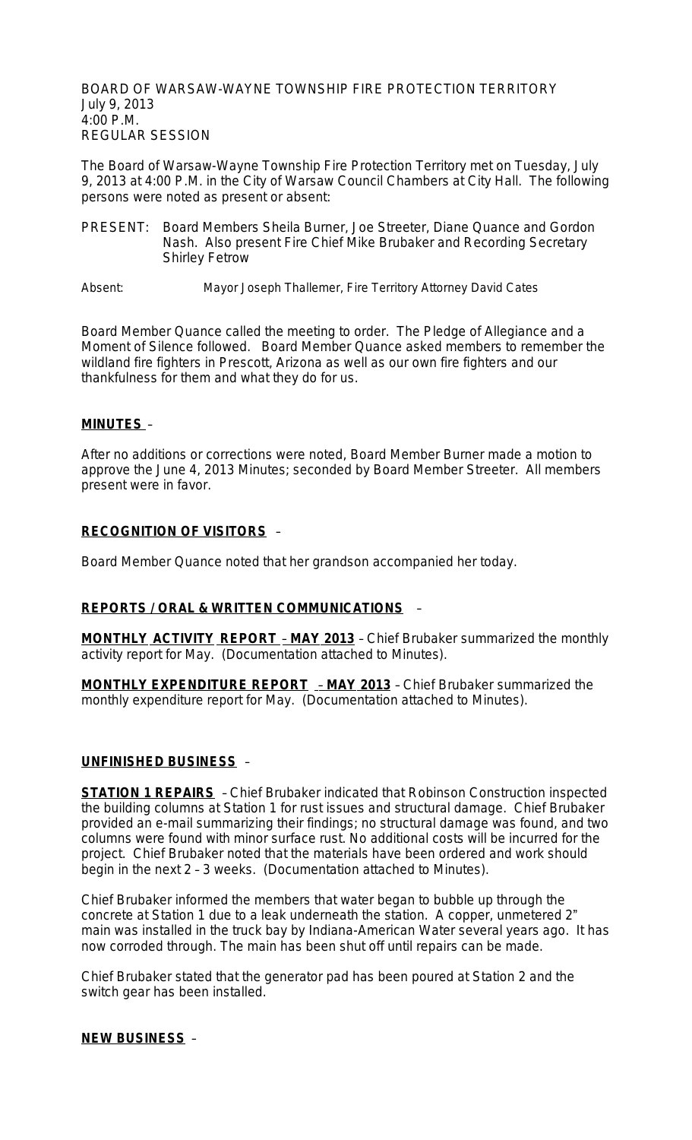BOARD OF WARSAW-WAYNE TOWNSHIP FIRE PROTECTION TERRITORY July 9, 2013 4:00 P.M. REGULAR SESSION

The Board of Warsaw-Wayne Township Fire Protection Territory met on Tuesday, July 9, 2013 at 4:00 P.M. in the City of Warsaw Council Chambers at City Hall. The following persons were noted as present or absent:

- PRESENT: Board Members Sheila Burner, Joe Streeter, Diane Quance and Gordon Nash. Also present Fire Chief Mike Brubaker and Recording Secretary Shirley Fetrow
- Absent: Mayor Joseph Thallemer, Fire Territory Attorney David Cates

Board Member Quance called the meeting to order. The Pledge of Allegiance and a Moment of Silence followed. Board Member Quance asked members to remember the wildland fire fighters in Prescott, Arizona as well as our own fire fighters and our thankfulness for them and what they do for us.

## **MINUTES** –

After no additions or corrections were noted, Board Member Burner made a motion to approve the June 4, 2013 Minutes; seconded by Board Member Streeter. All members present were in favor.

## **RECOGNITION OF VISITORS** –

Board Member Quance noted that her grandson accompanied her today.

## **REPORTS / ORAL & WRITTEN COMMUNICATIONS** –

**MONTHLY ACTIVITY REPORT** – **MAY 2013** – Chief Brubaker summarized the monthly activity report for May. (Documentation attached to Minutes).

**MONTHLY EXPENDITURE REPORT** – **MAY 2013** – Chief Brubaker summarized the monthly expenditure report for May. (Documentation attached to Minutes).

## **UNFINISHED BUSINESS** –

**STATION 1 REPAIRS** – Chief Brubaker indicated that Robinson Construction inspected the building columns at Station 1 for rust issues and structural damage. Chief Brubaker provided an e-mail summarizing their findings; no structural damage was found, and two columns were found with minor surface rust. No additional costs will be incurred for the project. Chief Brubaker noted that the materials have been ordered and work should begin in the next 2 – 3 weeks. (Documentation attached to Minutes).

Chief Brubaker informed the members that water began to bubble up through the concrete at Station 1 due to a leak underneath the station. A copper, unmetered 2" main was installed in the truck bay by Indiana-American Water several years ago. It has now corroded through. The main has been shut off until repairs can be made.

Chief Brubaker stated that the generator pad has been poured at Station 2 and the switch gear has been installed.

## **NEW BUSINESS** –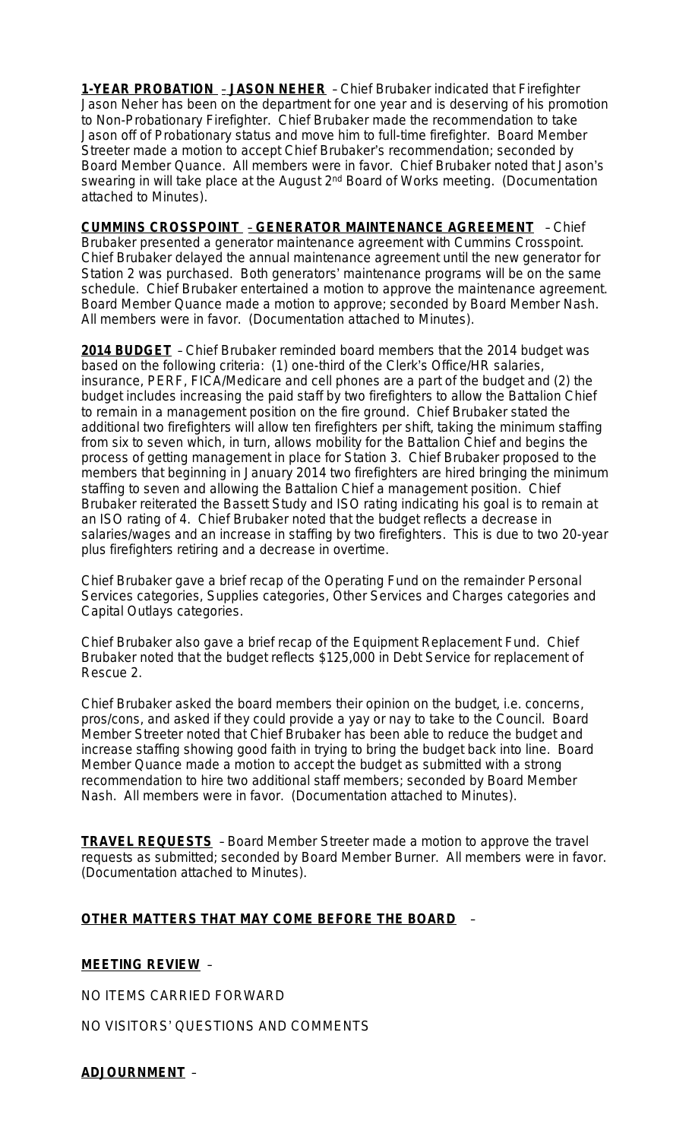**1-YEAR PROBATION** – **JASON NEHER** – Chief Brubaker indicated that Firefighter Jason Neher has been on the department for one year and is deserving of his promotion to Non-Probationary Firefighter. Chief Brubaker made the recommendation to take Jason off of Probationary status and move him to full-time firefighter. Board Member Streeter made a motion to accept Chief Brubaker's recommendation; seconded by Board Member Quance. All members were in favor. Chief Brubaker noted that Jason's swearing in will take place at the August 2<sup>nd</sup> Board of Works meeting. (Documentation attached to Minutes).

**CUMMINS CROSSPOINT** – **GENERATOR MAINTENANCE AGREEMENT** – Chief Brubaker presented a generator maintenance agreement with Cummins Crosspoint. Chief Brubaker delayed the annual maintenance agreement until the new generator for Station 2 was purchased. Both generators' maintenance programs will be on the same schedule. Chief Brubaker entertained a motion to approve the maintenance agreement. Board Member Quance made a motion to approve; seconded by Board Member Nash. All members were in favor. (Documentation attached to Minutes).

**2014 BUDGET** – Chief Brubaker reminded board members that the 2014 budget was based on the following criteria: (1) one-third of the Clerk's Office/HR salaries, insurance, PERF, FICA/Medicare and cell phones are a part of the budget and (2) the budget includes increasing the paid staff by two firefighters to allow the Battalion Chief to remain in a management position on the fire ground. Chief Brubaker stated the additional two firefighters will allow ten firefighters per shift, taking the minimum staffing from six to seven which, in turn, allows mobility for the Battalion Chief and begins the process of getting management in place for Station 3. Chief Brubaker proposed to the members that beginning in January 2014 two firefighters are hired bringing the minimum staffing to seven and allowing the Battalion Chief a management position. Chief Brubaker reiterated the Bassett Study and ISO rating indicating his goal is to remain at an ISO rating of 4. Chief Brubaker noted that the budget reflects a decrease in salaries/wages and an increase in staffing by two firefighters. This is due to two 20-year plus firefighters retiring and a decrease in overtime.

Chief Brubaker gave a brief recap of the Operating Fund on the remainder Personal Services categories, Supplies categories, Other Services and Charges categories and Capital Outlays categories.

Chief Brubaker also gave a brief recap of the Equipment Replacement Fund. Chief Brubaker noted that the budget reflects \$125,000 in Debt Service for replacement of Rescue 2.

Chief Brubaker asked the board members their opinion on the budget, i.e. concerns, pros/cons, and asked if they could provide a yay or nay to take to the Council. Board Member Streeter noted that Chief Brubaker has been able to reduce the budget and increase staffing showing good faith in trying to bring the budget back into line. Board Member Quance made a motion to accept the budget as submitted with a strong recommendation to hire two additional staff members; seconded by Board Member Nash. All members were in favor. (Documentation attached to Minutes).

**TRAVEL REQUESTS** – Board Member Streeter made a motion to approve the travel requests as submitted; seconded by Board Member Burner. All members were in favor. (Documentation attached to Minutes).

## **OTHER MATTERS THAT MAY COME BEFORE THE BOARD** –

#### **MEETING REVIEW** –

NO ITEMS CARRIED FORWARD

NO VISITORS' QUESTIONS AND COMMENTS

#### **ADJOURNMENT** –